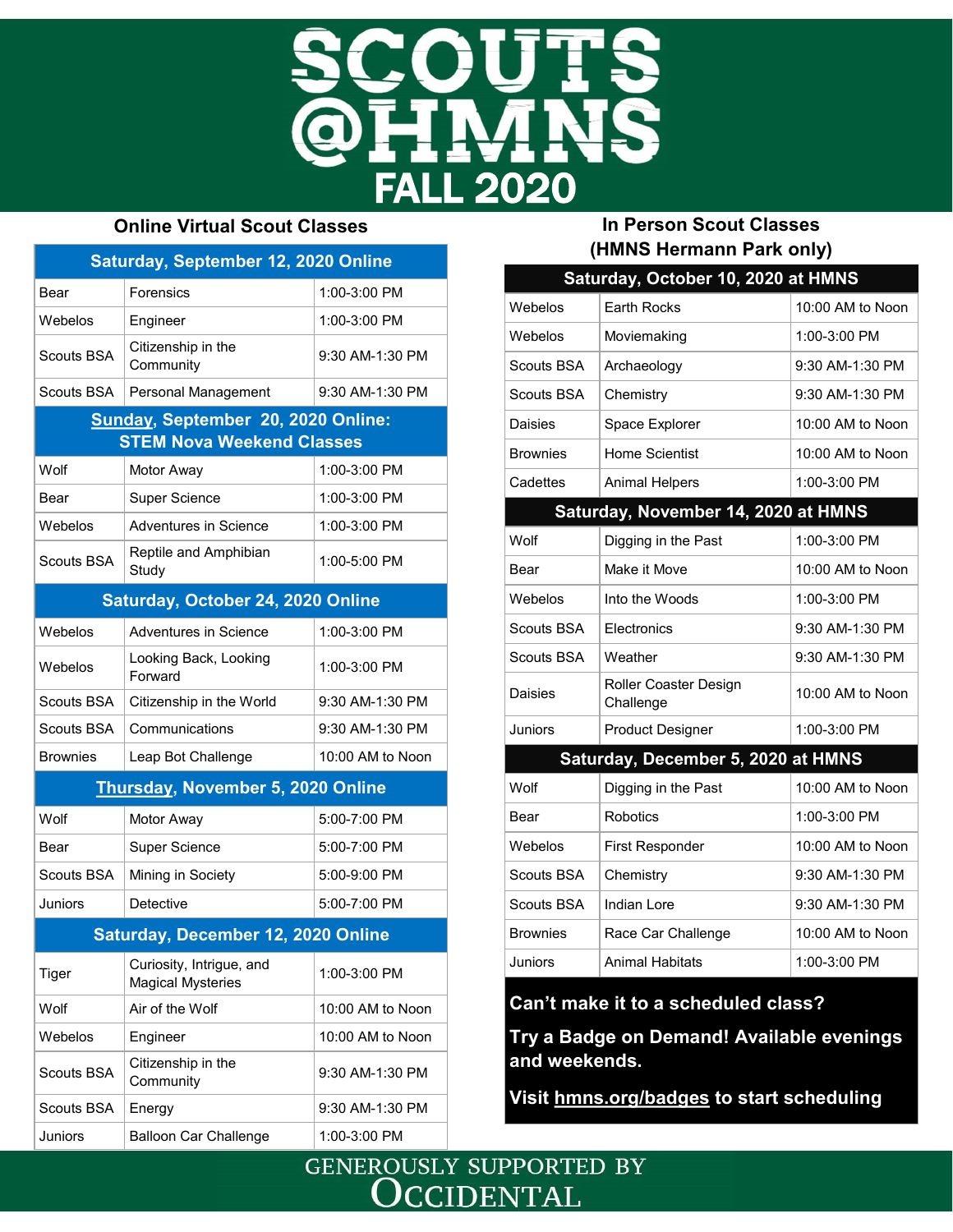

### **Online Virtual Scout Classes**

| Saturday, September 12, 2020 Online                                           |                                                      |                  |  |
|-------------------------------------------------------------------------------|------------------------------------------------------|------------------|--|
| Bear                                                                          | Forensics                                            | 1:00-3:00 PM     |  |
| Webelos                                                                       | Engineer                                             | 1:00-3:00 PM     |  |
| Scouts BSA                                                                    | Citizenship in the<br>Community                      | 9:30 AM-1:30 PM  |  |
| <b>Scouts BSA</b>                                                             | Personal Management                                  | 9:30 AM-1:30 PM  |  |
| <b>Sunday, September 20, 2020 Online:</b><br><b>STEM Nova Weekend Classes</b> |                                                      |                  |  |
| Wolf                                                                          | Motor Away                                           | 1:00-3:00 PM     |  |
| Bear                                                                          | <b>Super Science</b>                                 | 1:00-3:00 PM     |  |
| Webelos                                                                       | Adventures in Science                                | 1:00-3:00 PM     |  |
| Scouts BSA                                                                    | Reptile and Amphibian<br>Study                       | 1:00-5:00 PM     |  |
| Saturday, October 24, 2020 Online                                             |                                                      |                  |  |
| Webelos                                                                       | Adventures in Science                                | 1:00-3:00 PM     |  |
| Webelos                                                                       | Looking Back, Looking<br>Forward                     | 1:00-3:00 PM     |  |
| Scouts BSA                                                                    | Citizenship in the World                             | 9:30 AM-1:30 PM  |  |
| Scouts BSA                                                                    | Communications                                       | 9:30 AM-1:30 PM  |  |
| <b>Brownies</b>                                                               | Leap Bot Challenge                                   | 10:00 AM to Noon |  |
| Thursday, November 5, 2020 Online                                             |                                                      |                  |  |
| Wolf                                                                          | Motor Away                                           | 5:00-7:00 PM     |  |
| Bear                                                                          | <b>Super Science</b>                                 | 5:00-7:00 PM     |  |
| <b>Scouts BSA</b>                                                             | Mining in Society                                    | 5:00-9:00 PM     |  |
| <b>Juniors</b>                                                                | Detective                                            | 5:00-7:00 PM     |  |
| <b>Saturday, December 12, 2020 Online</b>                                     |                                                      |                  |  |
| Tiger                                                                         | Curiosity, Intrigue, and<br><b>Magical Mysteries</b> | 1:00-3:00 PM     |  |
| Wolf                                                                          | Air of the Wolf                                      | 10:00 AM to Noon |  |
| Webelos                                                                       | Engineer                                             | 10:00 AM to Noon |  |
| Scouts BSA                                                                    | Citizenship in the<br>Community                      | 9:30 AM-1:30 PM  |  |
| <b>Scouts BSA</b>                                                             | Energy                                               | 9:30 AM-1:30 PM  |  |
| <b>Juniors</b>                                                                | <b>Balloon Car Challenge</b>                         | 1:00-3:00 PM     |  |

## **In Person Scout Classes (HMNS Hermann Park only)**

|                                     | Saturday, October 10, 2020 at HMNS |                  |  |
|-------------------------------------|------------------------------------|------------------|--|
| Webelos                             | <b>Earth Rocks</b>                 | 10:00 AM to Noon |  |
| Webelos                             | Moviemaking                        | 1:00-3:00 PM     |  |
| Scouts BSA                          | Archaeology                        | 9:30 AM-1:30 PM  |  |
| Scouts BSA                          | Chemistry                          | 9:30 AM-1:30 PM  |  |
| Daisies                             | Space Explorer                     | 10:00 AM to Noon |  |
| <b>Brownies</b>                     | Home Scientist                     | 10:00 AM to Noon |  |
| Cadettes                            | <b>Animal Helpers</b>              | 1:00-3:00 PM     |  |
| Saturday, November 14, 2020 at HMNS |                                    |                  |  |
| Wolf                                | Digging in the Past                | 1:00-3:00 PM     |  |
| Bear                                | Make it Move                       | 10:00 AM to Noon |  |
| Webelos                             | Into the Woods                     | 1:00-3:00 PM     |  |
| Scouts BSA                          | Electronics                        | 9:30 AM-1:30 PM  |  |
| Scouts BSA                          | Weather                            | 9:30 AM-1:30 PM  |  |
| Daisies                             | Roller Coaster Design<br>Challenge | 10:00 AM to Noon |  |
| Juniors                             | <b>Product Designer</b>            | 1:00-3:00 PM     |  |
| Saturday, December 5, 2020 at HMNS  |                                    |                  |  |
| Wolf                                | Digging in the Past                | 10:00 AM to Noon |  |
| Bear                                | <b>Robotics</b>                    | 1:00-3:00 PM     |  |
| Webelos                             | <b>First Responder</b>             | 10:00 AM to Noon |  |
| Scouts BSA                          | Chemistry                          | 9:30 AM-1:30 PM  |  |
| Scouts BSA                          | Indian Lore                        | 9:30 AM-1:30 PM  |  |
| <b>Brownies</b>                     | Race Car Challenge                 | 10:00 AM to Noon |  |
| Juniors                             | <b>Animal Habitats</b>             | 1:00-3:00 PM     |  |

# **Can't make it to a scheduled class?**

**Try a Badge on Demand! Available evenings and weekends.**

**Visit [hmns.org/badges](http://www.hmns.org/education/scouts/badges-on-demand/) to start scheduling** 

**GENEROUSLY SUPPORTED BY CCIDENTAL**